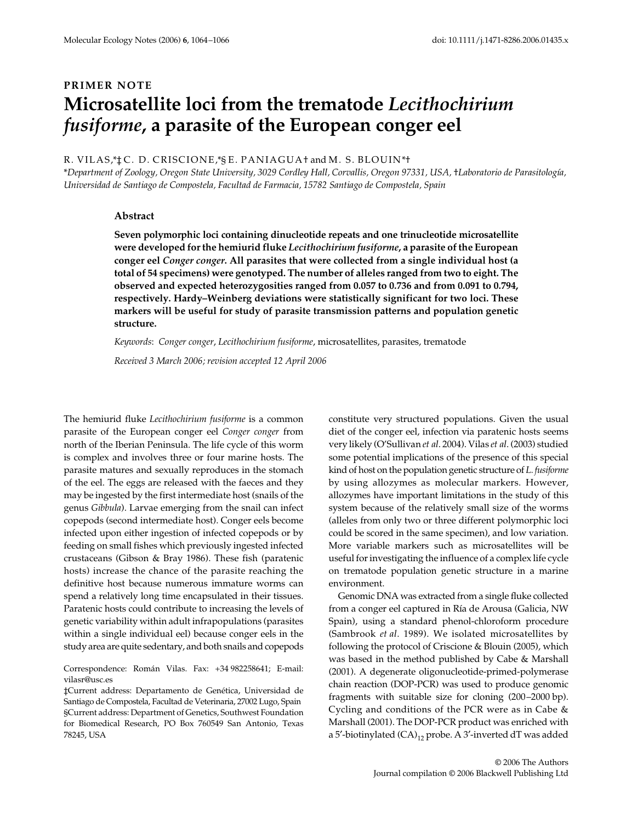# **PRIMER NOTE Microsatellite loci from the trematode** *Lecithochirium fusiforme***, a parasite of the European conger eel**

#### R. VILAS,\*‡ C. D. CRISCIONE,\*§ E. PANIAGUA† and M. S. BLOUIN\*†

\**Department of Zoology, Oregon State University, 3029 Cordley Hall, Corvallis, Oregon 97331, USA,* †*Laboratorio de Parasitología, Universidad de Santiago de Compostela, Facultad de Farmacia, 15782 Santiago de Compostela, Spain* 

### **Abstract**

**Seven polymorphic loci containing dinucleotide repeats and one trinucleotide microsatellite were developed for the hemiurid fluke** *Lecithochirium fusiforme***, a parasite of the European conger eel** *Conger conger***. All parasites that were collected from a single individual host (a total of 54 specimens) were genotyped. The number of alleles ranged from two to eight. The observed and expected heterozygosities ranged from 0.057 to 0.736 and from 0.091 to 0.794, respectively. Hardy–Weinberg deviations were statistically significant for two loci. These markers will be useful for study of parasite transmission patterns and population genetic structure.**

*Keywords*: *Conger conger*, *Lecithochirium fusiforme*, microsatellites, parasites, trematode

*Received 3 March 2006; revision accepted 12 April 2006*

The hemiurid fluke *Lecithochirium fusiforme* is a common parasite of the European conger eel *Conger conger* from north of the Iberian Peninsula. The life cycle of this worm is complex and involves three or four marine hosts. The parasite matures and sexually reproduces in the stomach of the eel. The eggs are released with the faeces and they may be ingested by the first intermediate host (snails of the genus *Gibbula*). Larvae emerging from the snail can infect copepods (second intermediate host). Conger eels become infected upon either ingestion of infected copepods or by feeding on small fishes which previously ingested infected crustaceans (Gibson & Bray 1986). These fish (paratenic hosts) increase the chance of the parasite reaching the definitive host because numerous immature worms can spend a relatively long time encapsulated in their tissues. Paratenic hosts could contribute to increasing the levels of genetic variability within adult infrapopulations (parasites within a single individual eel) because conger eels in the study area are quite sedentary, and both snails and copepods

Correspondence: Román Vilas. Fax: +34 982258641; E-mail: vilasr@usc.es

‡Current address: Departamento de Genética, Universidad de Santiago de Compostela, Facultad de Veterinaria, 27002 Lugo, Spain §Current address: Department of Genetics, Southwest Foundation for Biomedical Research, PO Box 760549 San Antonio, Texas 78245, USA

constitute very structured populations. Given the usual diet of the conger eel, infection via paratenic hosts seems very likely (O'Sullivan *et al*. 2004). Vilas *et al*. (2003) studied some potential implications of the presence of this special kind of host on the population genetic structure of *L. fusiforme* by using allozymes as molecular markers. However, allozymes have important limitations in the study of this system because of the relatively small size of the worms (alleles from only two or three different polymorphic loci could be scored in the same specimen), and low variation. More variable markers such as microsatellites will be useful for investigating the influence of a complex life cycle on trematode population genetic structure in a marine environment.

Genomic DNA was extracted from a single fluke collected from a conger eel captured in Ría de Arousa (Galicia, NW Spain), using a standard phenol-chloroform procedure (Sambrook *et al*. 1989). We isolated microsatellites by following the protocol of Criscione & Blouin (2005), which was based in the method published by Cabe & Marshall (2001). A degenerate oligonucleotide-primed-polymerase chain reaction (DOP-PCR) was used to produce genomic fragments with suitable size for cloning (200–2000 bp). Cycling and conditions of the PCR were as in Cabe & Marshall (2001). The DOP-PCR product was enriched with a 5'-biotinylated  $(CA)_{12}$  probe. A 3'-inverted dT was added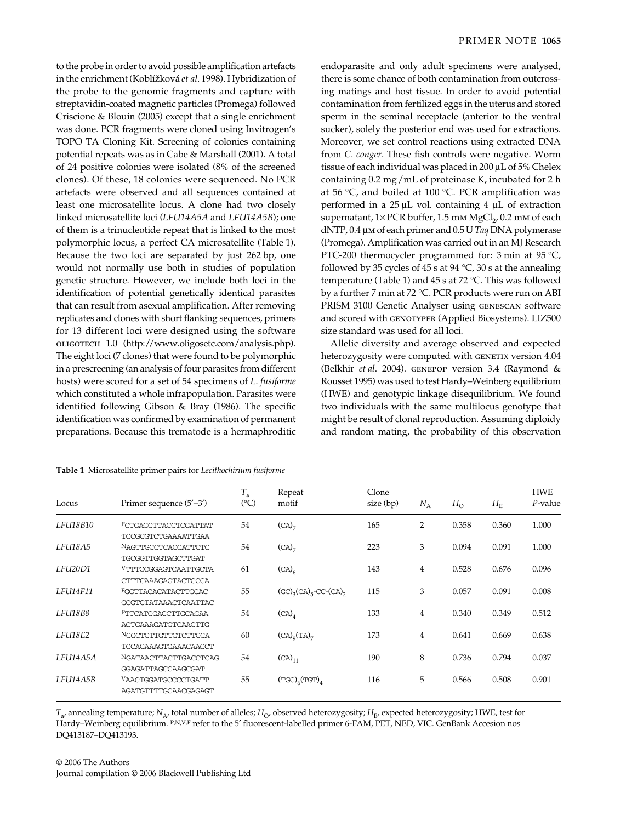to the probe in order to avoid possible amplification artefacts in the enrichment (Koblí*6*ková *et al*. 1998). Hybridization of the probe to the genomic fragments and capture with streptavidin-coated magnetic particles (Promega) followed Criscione & Blouin (2005) except that a single enrichment was done. PCR fragments were cloned using Invitrogen's TOPO TA Cloning Kit. Screening of colonies containing potential repeats was as in Cabe & Marshall (2001). A total of 24 positive colonies were isolated (8% of the screened clones). Of these, 18 colonies were sequenced. No PCR artefacts were observed and all sequences contained at least one microsatellite locus. A clone had two closely linked microsatellite loci (*LFU14A5A* and *LFU14A5B*); one of them is a trinucleotide repeat that is linked to the most polymorphic locus, a perfect CA microsatellite (Table 1).

Because the two loci are separated by just 262 bp, one would not normally use both in studies of population genetic structure. However, we include both loci in the identification of potential genetically identical parasites that can result from asexual amplification. After removing replicates and clones with short flanking sequences, primers for 13 different loci were designed using the software oligotech 1.0 (http://www.oligosetc.com/analysis.php). The eight loci (7 clones) that were found to be polymorphic in a prescreening (an analysis of four parasites from different hosts) were scored for a set of 54 specimens of *L. fusiforme* which constituted a whole infrapopulation. Parasites were identified following Gibson & Bray (1986). The specific identification was confirmed by examination of permanent preparations. Because this trematode is a hermaphroditic

endoparasite and only adult specimens were analysed, there is some chance of both contamination from outcrossing matings and host tissue. In order to avoid potential contamination from fertilized eggs in the uterus and stored sperm in the seminal receptacle (anterior to the ventral sucker), solely the posterior end was used for extractions. Moreover, we set control reactions using extracted DNA from *C. conger*. These fish controls were negative. Worm tissue of each individual was placed in 200 µL of 5% Chelex containing 0.2 mg/mL of proteinase K, incubated for 2 h at 56 °C, and boiled at 100 °C. PCR amplification was performed in a  $25 \mu L$  vol. containing 4  $\mu L$  of extraction supernatant,  $1 \times PCR$  buffer,  $1.5$  mm  $MgCl<sub>2</sub>$ ,  $0.2$  mm of each dNTP, 0.4 µm of each primer and 0.5 U *Taq* DNA polymerase (Promega). Amplification was carried out in an MJ Research PTC-200 thermocycler programmed for: 3 min at 95 °C, followed by 35 cycles of 45 s at 94  $°C$ , 30 s at the annealing temperature (Table 1) and 45 s at 72 °C. This was followed by a further 7 min at 72 °C. PCR products were run on ABI PRISM 3100 Genetic Analyser using genescan software and scored with GENOTYPER (Applied Biosystems). LIZ500 size standard was used for all loci.

Allelic diversity and average observed and expected heterozygosity were computed with GENETIX version 4.04 (Belkhir *et al*. 2004). genepop version 3.4 (Raymond & Rousset 1995) was used to test Hardy–Weinberg equilibrium (HWE) and genotypic linkage disequilibrium. We found two individuals with the same multilocus genotype that might be result of clonal reproduction. Assuming diploidy and random mating, the probability of this observation

| Locus           | Primer sequence $(5'–3')$   | $T_{\rm a}$<br>$(^{\circ}C)$ | Repeat<br>motif                          | Clone<br>size (bp) | $N_A$ | $H_{\rm O}$ | $H_{\rm E}$ | <b>HWE</b><br>$P$ -value |
|-----------------|-----------------------------|------------------------------|------------------------------------------|--------------------|-------|-------------|-------------|--------------------------|
| LFU18B10        | PCTGAGCTTACCTCGATTAT        | 54                           | $(CA)$ <sub>7</sub>                      | 165                | 2     | 0.358       | 0.360       | 1.000                    |
|                 | TCCGCGTCTGAAAATTGAA         |                              |                                          |                    |       |             |             |                          |
| LFU18A5         | NAGTTGCCTCACCATTCTC         | 54                           | (CA) <sub>7</sub>                        | 223                | 3     | 0.094       | 0.091       | 1.000                    |
|                 | TGCGGTTGGTAGCTTGAT          |                              |                                          |                    |       |             |             |                          |
| LFU20D1         | VTTTCCGGAGTCAATTGCTA        | 61                           | (CA) <sub>6</sub>                        | 143                | 4     | 0.528       | 0.676       | 0.096                    |
|                 | CTTTCAAAGAGTACTGCCA         |                              |                                          |                    |       |             |             |                          |
| <b>LFU14F11</b> | FGGTTACACATACTTGGAC         | 55                           | $(GC)_{3}(CA)_{5}$ -CC-(CA) <sub>2</sub> | 115                | 3     | 0.057       | 0.091       | 0.008                    |
|                 | <b>GCGTGTATAAACTCAATTAC</b> |                              |                                          |                    |       |             |             |                          |
| LFU18B8         | PTTCATGGAGCTTGCAGAA         | 54                           | $(CA)$ <sub>4</sub>                      | 133                | 4     | 0.340       | 0.349       | 0.512                    |
|                 | <b>ACTGAAAGATGTCAAGTTG</b>  |                              |                                          |                    |       |             |             |                          |
| LFU18E2         | NGGCTGTTGTTGTCTTCCA         | 60                           | $(CA)_{q}(TA)_{7}$                       | 173                | 4     | 0.641       | 0.669       | 0.638                    |
|                 | TCCAGAAAGTGAAACAAGCT        |                              |                                          |                    |       |             |             |                          |
| LFU14A5A        | NGATAACTTACTTGACCTCAG       | 54                           | $(CA)_{11}$                              | 190                | 8     | 0.736       | 0.794       | 0.037                    |
|                 | GGAGATTAGCCAAGCGAT          |                              |                                          |                    |       |             |             |                          |
| <b>LFU14A5B</b> | VAACTGGATGCCCCTGATT         | 55                           | $(TGC)_{6}(TGT)_{4}$                     | 116                | 5     | 0.566       | 0.508       | 0.901                    |
|                 | AGATGTTTTGCAACGAGAGT        |                              |                                          |                    |       |             |             |                          |

**Table 1** Microsatellite primer pairs for *Lecithochirium fusiforme*

 $T_{a}$ , annealing temperature; *N*<sub>A</sub>, total number of alleles; *H*<sub>O</sub>, observed heterozygosity; *H*<sub>E</sub>, expected heterozygosity; *HWE*, test for Hardy–Weinberg equilibrium. P,N,V,F refer to the 5' fluorescent-labelled primer 6-FAM, PET, NED, VIC. GenBank Accesion nos DQ413187–DQ413193.